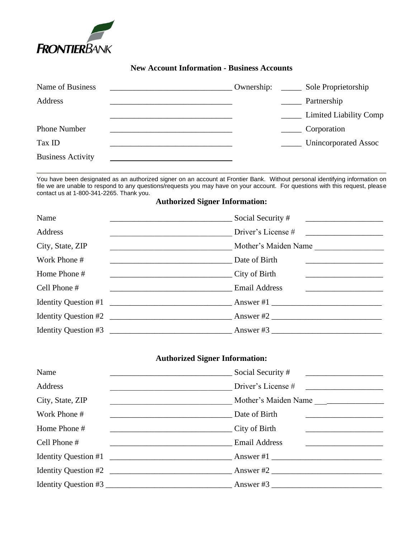

## **New Account Information - Business Accounts**

| Name of Business         | Ownership: | Sole Proprietorship    |
|--------------------------|------------|------------------------|
| Address                  |            | Partnership            |
|                          |            | Limited Liability Comp |
| <b>Phone Number</b>      |            | Corporation            |
| Tax ID                   |            | Unincorporated Assoc   |
| <b>Business Activity</b> |            |                        |

You have been designated as an authorized signer on an account at Frontier Bank. Without personal identifying information on file we are unable to respond to any questions/requests you may have on your account. For questions with this request, please contact us at 1-800-341-2265. Thank you.

## **Authorized Signer Information:**

| Name                                                                                                                | Social Security #    |
|---------------------------------------------------------------------------------------------------------------------|----------------------|
| Address                                                                                                             | Driver's License #   |
| City, State, ZIP<br><u> 1989 - Johann John Stein, mars an Francisco Barbara, actor a component de la componenta</u> | Mother's Maiden Name |
| Work Phone #                                                                                                        | Date of Birth        |
| Home Phone #<br>City of Birth                                                                                       |                      |
| Cell Phone #<br>Email Address                                                                                       |                      |
|                                                                                                                     |                      |
| Identity Question #2                                                                                                |                      |
|                                                                                                                     |                      |

## **Authorized Signer Information:**

| Name                                                                                                                                  | Social Security #                                                                                                                  |
|---------------------------------------------------------------------------------------------------------------------------------------|------------------------------------------------------------------------------------------------------------------------------------|
| Address<br><u> 1990 - Johann Barbara, martin amerikan personal (</u>                                                                  | Driver's License #                                                                                                                 |
| City, State, ZIP                                                                                                                      | Mother's Maiden Name                                                                                                               |
| Work Phone #                                                                                                                          | Date of Birth<br><u> 1989 - Johann Barn, fransk politik fotograf (d. 1989)</u><br><u> 1986 - Andrea Barbara, política española</u> |
| Home Phone #                                                                                                                          | City of Birth                                                                                                                      |
| Cell Phone #<br><u> 1989 - Johann Harry Harry Harry Harry Harry Harry Harry Harry Harry Harry Harry Harry Harry Harry Harry Harry</u> | <b>Email Address</b>                                                                                                               |
|                                                                                                                                       | Identity Question #1                                                                                                               |
|                                                                                                                                       | Identity Question #2                                                                                                               |
|                                                                                                                                       |                                                                                                                                    |